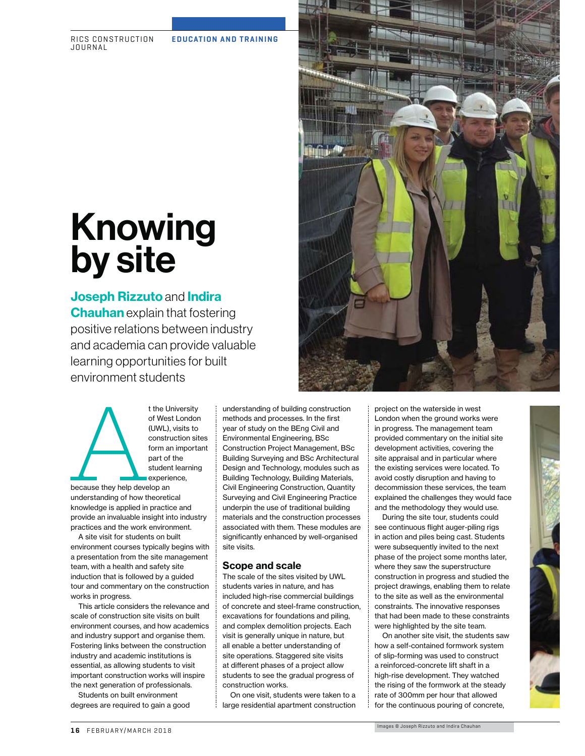RICS CONSTRUCTION JOURNAL

# Knowing<br>by site

## by site **Joseph Rizzuto** and **Indira**

**Chauhan** explain that fostering positive relations between industry and academia can provide valuable learning opportunities for built environment students

t the University<br>of West London<br>(UWL), visits to<br>construction sit<br>form an importa<br>part of the<br>student learning<br>experience,<br>because they help develop an<br>understanding of how theoretical<br>knowledge is applied in practice and<br> of West London (UWL), visits to construction sites form an important part of the student learning experience,

because they help develop an understanding of how theoretical knowledge is applied in practice and provide an invaluable insight into industry practices and the work environment.

A site visit for students on built environment courses typically begins with a presentation from the site management team, with a health and safety site induction that is followed by a guided tour and commentary on the construction works in progress.

This article considers the relevance and scale of construction site visits on built environment courses, and how academics and industry support and organise them. Fostering links between the construction industry and academic institutions is essential, as allowing students to visit important construction works will inspire the next generation of professionals.

Students on built environment degrees are required to gain a good understanding of building construction methods and processes. In the first year of study on the BEng Civil and Environmental Engineering, BSc Construction Project Management, BSc Building Surveying and BSc Architectural Design and Technology, modules such as Building Technology, Building Materials, Civil Engineering Construction, Quantity Surveying and Civil Engineering Practice underpin the use of traditional building materials and the construction processes associated with them. These modules are significantly enhanced by well-organised site visits.

#### **Scope and scale**

The scale of the sites visited by UWL students varies in nature, and has included high-rise commercial buildings of concrete and steel-frame construction, excavations for foundations and piling, and complex demolition projects. Each visit is generally unique in nature, but all enable a better understanding of site operations. Staggered site visits at different phases of a project allow students to see the gradual progress of construction works.

On one visit, students were taken to a large residential apartment construction project on the waterside in west London when the ground works were in progress. The management team provided commentary on the initial site development activities, covering the site appraisal and in particular where the existing services were located. To avoid costly disruption and having to decommission these services, the team explained the challenges they would face and the methodology they would use.

During the site tour, students could see continuous flight auger-piling rigs in action and piles being cast. Students were subsequently invited to the next phase of the project some months later, where they saw the superstructure construction in progress and studied the project drawings, enabling them to relate to the site as well as the environmental constraints. The innovative responses that had been made to these constraints were highlighted by the site team.

On another site visit, the students saw how a self-contained formwork system of slip-forming was used to construct a reinforced-concrete lift shaft in a high-rise development. They watched the rising of the formwork at the steady rate of 300mm per hour that allowed for the continuous pouring of concrete,

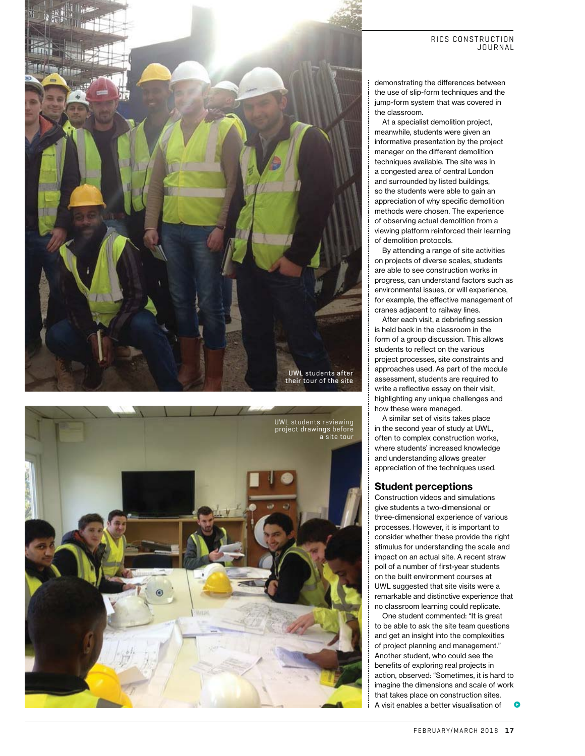



#### RICS CONSTRUCTION JOURNAL

demonstrating the differences between the use of slip-form techniques and the jump-form system that was covered in the classroom.

At a specialist demolition project, meanwhile, students were given an informative presentation by the project manager on the different demolition techniques available. The site was in a congested area of central London and surrounded by listed buildings, so the students were able to gain an appreciation of why specific demolition methods were chosen. The experience of observing actual demolition from a viewing platform reinforced their learning of demolition protocols.

By attending a range of site activities on projects of diverse scales, students are able to see construction works in progress, can understand factors such as environmental issues, or will experience, for example, the effective management of cranes adjacent to railway lines.

After each visit, a debriefing session is held back in the classroom in the form of a group discussion. This allows students to reflect on the various project processes, site constraints and approaches used. As part of the module assessment, students are required to write a reflective essay on their visit, highlighting any unique challenges and how these were managed.

A similar set of visits takes place in the second year of study at UWL, often to complex construction works, where students' increased knowledge and understanding allows greater appreciation of the techniques used.

#### **Student perceptions**

Construction videos and simulations give students a two-dimensional or three-dimensional experience of various processes. However, it is important to consider whether these provide the right stimulus for understanding the scale and impact on an actual site. A recent straw poll of a number of first-year students on the built environment courses at UWL suggested that site visits were a remarkable and distinctive experience that no classroom learning could replicate.

**o** One student commented: "It is great to be able to ask the site team questions and get an insight into the complexities of project planning and management." Another student, who could see the benefits of exploring real projects in action, observed: "Sometimes, it is hard to imagine the dimensions and scale of work that takes place on construction sites. A visit enables a better visualisation of